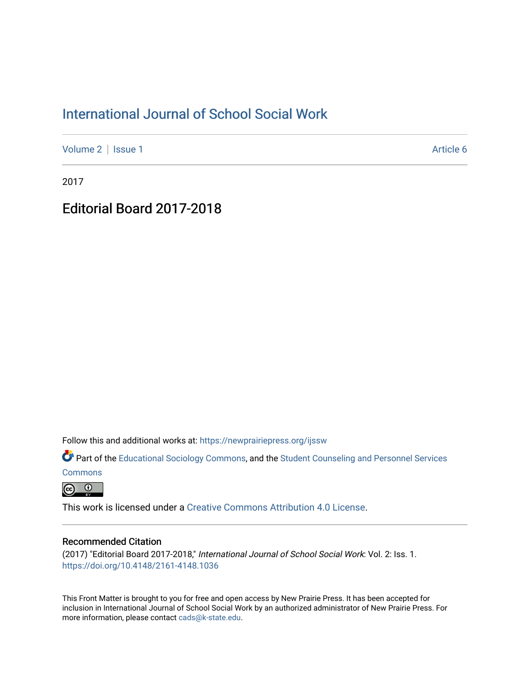### [International Journal of School Social Work](https://newprairiepress.org/ijssw)

[Volume 2](https://newprairiepress.org/ijssw/vol2) | [Issue 1](https://newprairiepress.org/ijssw/vol2/iss1) Article 6

2017

# Editorial Board 2017-2018

Follow this and additional works at: [https://newprairiepress.org/ijssw](https://newprairiepress.org/ijssw?utm_source=newprairiepress.org%2Fijssw%2Fvol2%2Fiss1%2F6&utm_medium=PDF&utm_campaign=PDFCoverPages) 

Part of the [Educational Sociology Commons,](http://network.bepress.com/hgg/discipline/1071?utm_source=newprairiepress.org%2Fijssw%2Fvol2%2Fiss1%2F6&utm_medium=PDF&utm_campaign=PDFCoverPages) and the [Student Counseling and Personnel Services](http://network.bepress.com/hgg/discipline/802?utm_source=newprairiepress.org%2Fijssw%2Fvol2%2Fiss1%2F6&utm_medium=PDF&utm_campaign=PDFCoverPages) 

**[Commons](http://network.bepress.com/hgg/discipline/802?utm_source=newprairiepress.org%2Fijssw%2Fvol2%2Fiss1%2F6&utm_medium=PDF&utm_campaign=PDFCoverPages)** 

 $\odot$   $\odot$ 

This work is licensed under a [Creative Commons Attribution 4.0 License](https://creativecommons.org/licenses/by/4.0/).

#### Recommended Citation

(2017) "Editorial Board 2017-2018," International Journal of School Social Work: Vol. 2: Iss. 1. <https://doi.org/10.4148/2161-4148.1036>

This Front Matter is brought to you for free and open access by New Prairie Press. It has been accepted for inclusion in International Journal of School Social Work by an authorized administrator of New Prairie Press. For more information, please contact [cads@k-state.edu](mailto:cads@k-state.edu).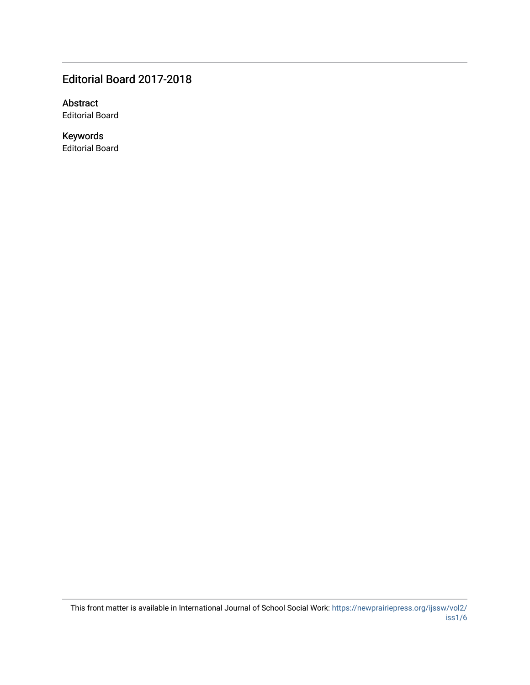### Editorial Board 2017-2018

Abstract Editorial Board

Keywords Editorial Board